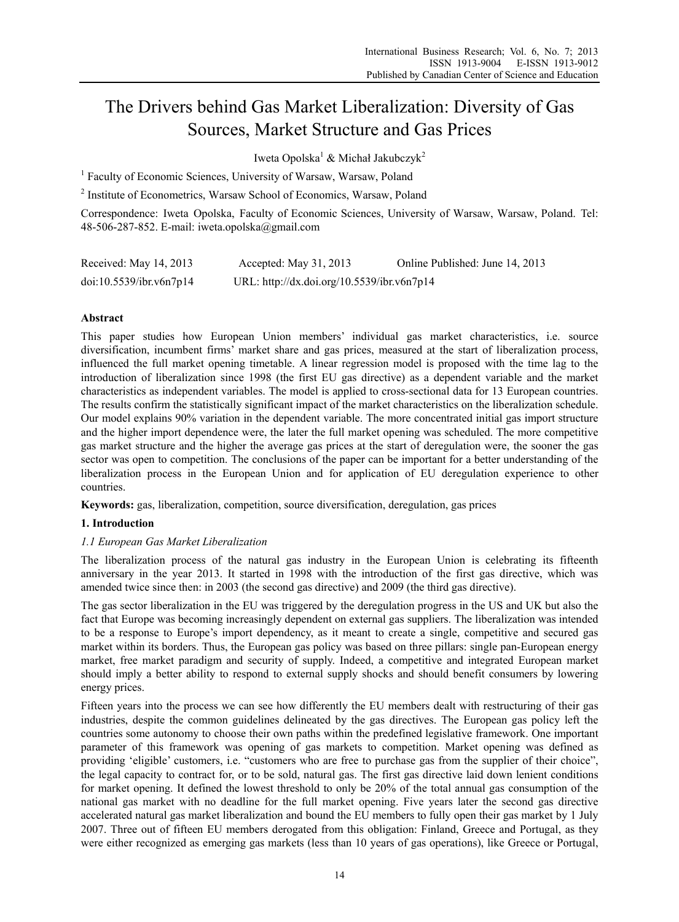# The Drivers behind Gas Market Liberalization: Diversity of Gas Sources, Market Structure and Gas Prices

Iweta Opolska<sup>1</sup> & Michał Jakubczyk<sup>2</sup>

<sup>1</sup> Faculty of Economic Sciences, University of Warsaw, Warsaw, Poland

<sup>2</sup> Institute of Econometrics, Warsaw School of Economics, Warsaw, Poland

Correspondence: Iweta Opolska, Faculty of Economic Sciences, University of Warsaw, Warsaw, Poland. Tel: 48-506-287-852. E-mail: iweta.opolska@gmail.com

| Received: May 14, 2013  | Accepted: May $31, 2013$                   | Online Published: June 14, 2013 |
|-------------------------|--------------------------------------------|---------------------------------|
| doi:10.5539/ibr.v6n7p14 | URL: http://dx.doi.org/10.5539/ibr.v6n7p14 |                                 |

## **Abstract**

This paper studies how European Union members' individual gas market characteristics, i.e. source diversification, incumbent firms' market share and gas prices, measured at the start of liberalization process, influenced the full market opening timetable. A linear regression model is proposed with the time lag to the introduction of liberalization since 1998 (the first EU gas directive) as a dependent variable and the market characteristics as independent variables. The model is applied to cross-sectional data for 13 European countries. The results confirm the statistically significant impact of the market characteristics on the liberalization schedule. Our model explains 90% variation in the dependent variable. The more concentrated initial gas import structure and the higher import dependence were, the later the full market opening was scheduled. The more competitive gas market structure and the higher the average gas prices at the start of deregulation were, the sooner the gas sector was open to competition. The conclusions of the paper can be important for a better understanding of the liberalization process in the European Union and for application of EU deregulation experience to other countries.

**Keywords:** gas, liberalization, competition, source diversification, deregulation, gas prices

#### **1. Introduction**

#### *1.1 European Gas Market Liberalization*

The liberalization process of the natural gas industry in the European Union is celebrating its fifteenth anniversary in the year 2013. It started in 1998 with the introduction of the first gas directive, which was amended twice since then: in 2003 (the second gas directive) and 2009 (the third gas directive).

The gas sector liberalization in the EU was triggered by the deregulation progress in the US and UK but also the fact that Europe was becoming increasingly dependent on external gas suppliers. The liberalization was intended to be a response to Europe's import dependency, as it meant to create a single, competitive and secured gas market within its borders. Thus, the European gas policy was based on three pillars: single pan-European energy market, free market paradigm and security of supply. Indeed, a competitive and integrated European market should imply a better ability to respond to external supply shocks and should benefit consumers by lowering energy prices.

Fifteen years into the process we can see how differently the EU members dealt with restructuring of their gas industries, despite the common guidelines delineated by the gas directives. The European gas policy left the countries some autonomy to choose their own paths within the predefined legislative framework. One important parameter of this framework was opening of gas markets to competition. Market opening was defined as providing 'eligible' customers, i.e. "customers who are free to purchase gas from the supplier of their choice", the legal capacity to contract for, or to be sold, natural gas. The first gas directive laid down lenient conditions for market opening. It defined the lowest threshold to only be 20% of the total annual gas consumption of the national gas market with no deadline for the full market opening. Five years later the second gas directive accelerated natural gas market liberalization and bound the EU members to fully open their gas market by 1 July 2007. Three out of fifteen EU members derogated from this obligation: Finland, Greece and Portugal, as they were either recognized as emerging gas markets (less than 10 years of gas operations), like Greece or Portugal,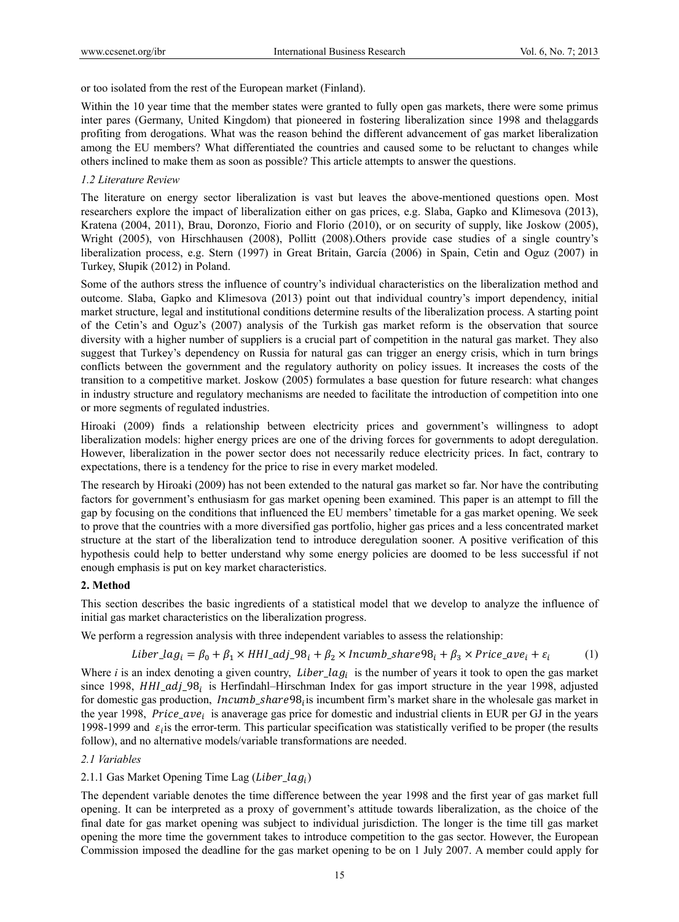or too isolated from the rest of the European market (Finland).

Within the 10 year time that the member states were granted to fully open gas markets, there were some primus inter pares (Germany, United Kingdom) that pioneered in fostering liberalization since 1998 and thelaggards profiting from derogations. What was the reason behind the different advancement of gas market liberalization among the EU members? What differentiated the countries and caused some to be reluctant to changes while others inclined to make them as soon as possible? This article attempts to answer the questions.

### *1.2 Literature Review*

The literature on energy sector liberalization is vast but leaves the above-mentioned questions open. Most researchers explore the impact of liberalization either on gas prices, e.g. Slaba, Gapko and Klimesova (2013), Kratena (2004, 2011), Brau, Doronzo, Fiorio and Florio (2010), or on security of supply, like Joskow (2005), Wright (2005), von Hirschhausen (2008), Pollitt (2008).Others provide case studies of a single country's liberalization process, e.g. Stern (1997) in Great Britain, García (2006) in Spain, Cetin and Oguz (2007) in Turkey, Słupik (2012) in Poland.

Some of the authors stress the influence of country's individual characteristics on the liberalization method and outcome. Slaba, Gapko and Klimesova (2013) point out that individual country's import dependency, initial market structure, legal and institutional conditions determine results of the liberalization process. A starting point of the Cetin's and Oguz's (2007) analysis of the Turkish gas market reform is the observation that source diversity with a higher number of suppliers is a crucial part of competition in the natural gas market. They also suggest that Turkey's dependency on Russia for natural gas can trigger an energy crisis, which in turn brings conflicts between the government and the regulatory authority on policy issues. It increases the costs of the transition to a competitive market. Joskow (2005) formulates a base question for future research: what changes in industry structure and regulatory mechanisms are needed to facilitate the introduction of competition into one or more segments of regulated industries.

Hiroaki (2009) finds a relationship between electricity prices and government's willingness to adopt liberalization models: higher energy prices are one of the driving forces for governments to adopt deregulation. However, liberalization in the power sector does not necessarily reduce electricity prices. In fact, contrary to expectations, there is a tendency for the price to rise in every market modeled.

The research by Hiroaki (2009) has not been extended to the natural gas market so far. Nor have the contributing factors for government's enthusiasm for gas market opening been examined. This paper is an attempt to fill the gap by focusing on the conditions that influenced the EU members' timetable for a gas market opening. We seek to prove that the countries with a more diversified gas portfolio, higher gas prices and a less concentrated market structure at the start of the liberalization tend to introduce deregulation sooner. A positive verification of this hypothesis could help to better understand why some energy policies are doomed to be less successful if not enough emphasis is put on key market characteristics.

## **2. Method**

This section describes the basic ingredients of a statistical model that we develop to analyze the influence of initial gas market characteristics on the liberalization progress.

We perform a regression analysis with three independent variables to assess the relationship:

$$
Liber\_lag_i = \beta_0 + \beta_1 \times HHI\_adj\_98_i + \beta_2 \times Incumb\_share98_i + \beta_3 \times Price\_ave_i + \varepsilon_i
$$
 (1)

Where *i* is an index denoting a given country, *Liber\_lag<sub>i</sub>* is the number of years it took to open the gas market since 1998,  $HHI_adj_98_i$  is Herfindahl–Hirschman Index for gas import structure in the year 1998, adjusted for domestic gas production, *Incumb share*98<sub>i</sub> is incumbent firm's market share in the wholesale gas market in the year 1998, Price\_ave<sub>i</sub> is anaverage gas price for domestic and industrial clients in EUR per GJ in the years 1998-1999 and  $\varepsilon_i$  is the error-term. This particular specification was statistically verified to be proper (the results follow), and no alternative models/variable transformations are needed.

#### *2.1 Variables*

## 2.1.1 Gas Market Opening Time Lag (*Liber\_lag<sub>i</sub>*)

The dependent variable denotes the time difference between the year 1998 and the first year of gas market full opening. It can be interpreted as a proxy of government's attitude towards liberalization, as the choice of the final date for gas market opening was subject to individual jurisdiction. The longer is the time till gas market opening the more time the government takes to introduce competition to the gas sector. However, the European Commission imposed the deadline for the gas market opening to be on 1 July 2007. A member could apply for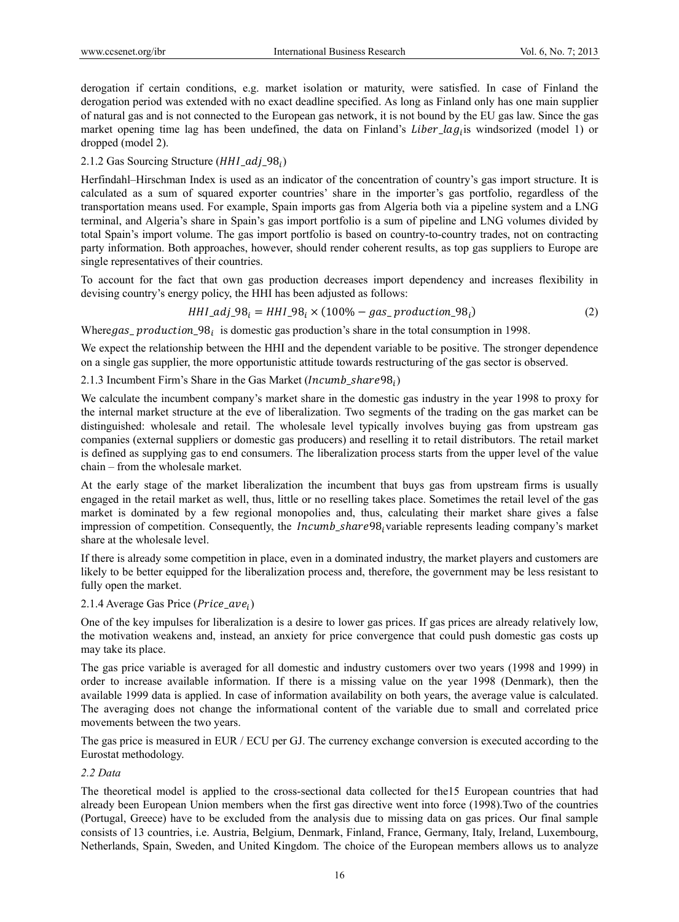derogation if certain conditions, e.g. market isolation or maturity, were satisfied. In case of Finland the derogation period was extended with no exact deadline specified. As long as Finland only has one main supplier of natural gas and is not connected to the European gas network, it is not bound by the EU gas law. Since the gas market opening time lag has been undefined, the data on Finland's Liber\_lag<sub>i</sub> is windsorized (model 1) or dropped (model 2).

## 2.1.2 Gas Sourcing Structure ( $HHI$  adj  $98_i$ )

Herfindahl–Hirschman Index is used as an indicator of the concentration of country's gas import structure. It is calculated as a sum of squared exporter countries' share in the importer's gas portfolio, regardless of the transportation means used. For example, Spain imports gas from Algeria both via a pipeline system and a LNG terminal, and Algeria's share in Spain's gas import portfolio is a sum of pipeline and LNG volumes divided by total Spain's import volume. The gas import portfolio is based on country-to-country trades, not on contracting party information. Both approaches, however, should render coherent results, as top gas suppliers to Europe are single representatives of their countries.

To account for the fact that own gas production decreases import dependency and increases flexibility in devising country's energy policy, the HHI has been adjusted as follows:

$$
HHLadj_98_i = HHL_98_i \times (100\% - gas\_production_98_i)
$$
 (2)

Where gas\_production\_98; is domestic gas production's share in the total consumption in 1998.

We expect the relationship between the HHI and the dependent variable to be positive. The stronger dependence on a single gas supplier, the more opportunistic attitude towards restructuring of the gas sector is observed.

### 2.1.3 Incumbent Firm's Share in the Gas Market (Incumb share  $98_i$ )

We calculate the incumbent company's market share in the domestic gas industry in the year 1998 to proxy for the internal market structure at the eve of liberalization. Two segments of the trading on the gas market can be distinguished: wholesale and retail. The wholesale level typically involves buying gas from upstream gas companies (external suppliers or domestic gas producers) and reselling it to retail distributors. The retail market is defined as supplying gas to end consumers. The liberalization process starts from the upper level of the value chain – from the wholesale market.

At the early stage of the market liberalization the incumbent that buys gas from upstream firms is usually engaged in the retail market as well, thus, little or no reselling takes place. Sometimes the retail level of the gas market is dominated by a few regional monopolies and, thus, calculating their market share gives a false impression of competition. Consequently, the *Incumb\_share98<sub>i</sub>* variable represents leading company's market share at the wholesale level.

If there is already some competition in place, even in a dominated industry, the market players and customers are likely to be better equipped for the liberalization process and, therefore, the government may be less resistant to fully open the market.

## 2.1.4 Average Gas Price ( $Price\_ave_i$ )

One of the key impulses for liberalization is a desire to lower gas prices. If gas prices are already relatively low, the motivation weakens and, instead, an anxiety for price convergence that could push domestic gas costs up may take its place.

The gas price variable is averaged for all domestic and industry customers over two years (1998 and 1999) in order to increase available information. If there is a missing value on the year 1998 (Denmark), then the available 1999 data is applied. In case of information availability on both years, the average value is calculated. The averaging does not change the informational content of the variable due to small and correlated price movements between the two years.

The gas price is measured in EUR / ECU per GJ. The currency exchange conversion is executed according to the Eurostat methodology.

## *2.2 Data*

The theoretical model is applied to the cross-sectional data collected for the15 European countries that had already been European Union members when the first gas directive went into force (1998).Two of the countries (Portugal, Greece) have to be excluded from the analysis due to missing data on gas prices. Our final sample consists of 13 countries, i.e. Austria, Belgium, Denmark, Finland, France, Germany, Italy, Ireland, Luxembourg, Netherlands, Spain, Sweden, and United Kingdom. The choice of the European members allows us to analyze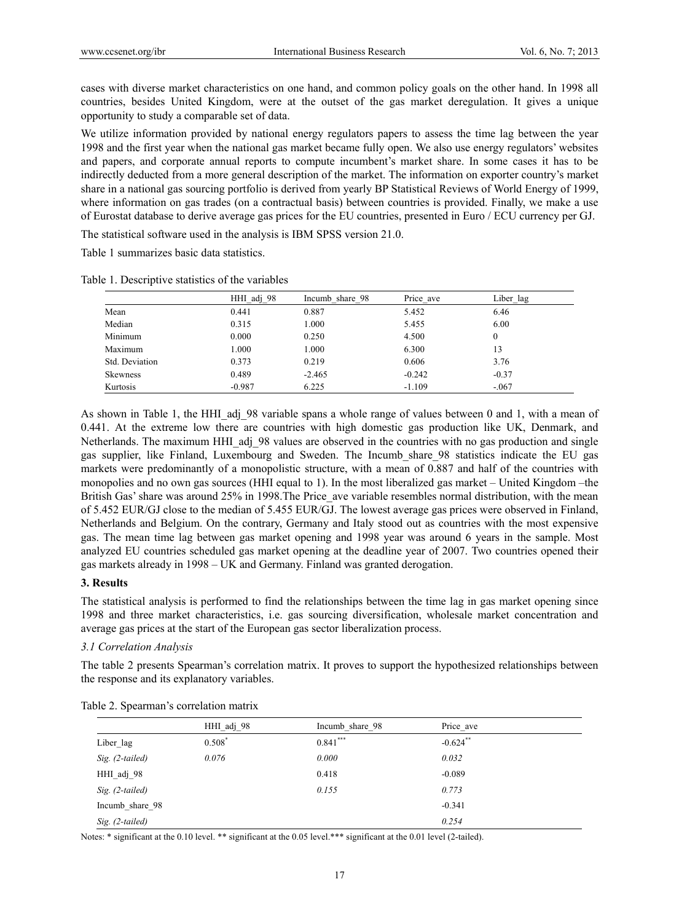cases with diverse market characteristics on one hand, and common policy goals on the other hand. In 1998 all countries, besides United Kingdom, were at the outset of the gas market deregulation. It gives a unique opportunity to study a comparable set of data.

We utilize information provided by national energy regulators papers to assess the time lag between the year 1998 and the first year when the national gas market became fully open. We also use energy regulators' websites and papers, and corporate annual reports to compute incumbent's market share. In some cases it has to be indirectly deducted from a more general description of the market. The information on exporter country's market share in a national gas sourcing portfolio is derived from yearly BP Statistical Reviews of World Energy of 1999, where information on gas trades (on a contractual basis) between countries is provided. Finally, we make a use of Eurostat database to derive average gas prices for the EU countries, presented in Euro / ECU currency per GJ.

The statistical software used in the analysis is IBM SPSS version 21.0.

Table 1 summarizes basic data statistics.

|                 | HHI adj 98 | Incumb share 98 | Price ave | Liber lag |
|-----------------|------------|-----------------|-----------|-----------|
| Mean            | 0.441      | 0.887           | 5.452     | 6.46      |
| Median          | 0.315      | 1.000           | 5.455     | 6.00      |
| Minimum         | 0.000      | 0.250           | 4.500     | 0         |
| Maximum         | 1.000      | 1.000           | 6.300     | 13        |
| Std. Deviation  | 0.373      | 0.219           | 0.606     | 3.76      |
| <b>Skewness</b> | 0.489      | $-2.465$        | $-0.242$  | $-0.37$   |
| Kurtosis        | $-0.987$   | 6.225           | $-1.109$  | $-.067$   |

Table 1. Descriptive statistics of the variables

As shown in Table 1, the HHI adj 98 variable spans a whole range of values between 0 and 1, with a mean of 0.441. At the extreme low there are countries with high domestic gas production like UK, Denmark, and Netherlands. The maximum HHI\_adj\_98 values are observed in the countries with no gas production and single gas supplier, like Finland, Luxembourg and Sweden. The Incumb\_share\_98 statistics indicate the EU gas markets were predominantly of a monopolistic structure, with a mean of 0.887 and half of the countries with monopolies and no own gas sources (HHI equal to 1). In the most liberalized gas market – United Kingdom –the British Gas' share was around 25% in 1998. The Price ave variable resembles normal distribution, with the mean of 5.452 EUR/GJ close to the median of 5.455 EUR/GJ. The lowest average gas prices were observed in Finland, Netherlands and Belgium. On the contrary, Germany and Italy stood out as countries with the most expensive gas. The mean time lag between gas market opening and 1998 year was around 6 years in the sample. Most analyzed EU countries scheduled gas market opening at the deadline year of 2007. Two countries opened their gas markets already in 1998 – UK and Germany. Finland was granted derogation.

#### **3. Results**

The statistical analysis is performed to find the relationships between the time lag in gas market opening since 1998 and three market characteristics, i.e. gas sourcing diversification, wholesale market concentration and average gas prices at the start of the European gas sector liberalization process.

#### *3.1 Correlation Analysis*

The table 2 presents Spearman's correlation matrix. It proves to support the hypothesized relationships between the response and its explanatory variables.

| HHI adj 98 | Incumb share 98 | Price_ave   |  |
|------------|-----------------|-------------|--|
| $0.508*$   | $0.841***$      | $-0.624$ ** |  |
| 0.076      | 0.000           | 0.032       |  |
|            | 0.418           | $-0.089$    |  |
|            | 0.155           | 0.773       |  |
|            |                 | $-0.341$    |  |
|            |                 | 0.254       |  |
|            |                 |             |  |

Table 2. Spearman's correlation matrix

Notes: \* significant at the 0.10 level. \*\* significant at the 0.05 level. \*\*\* significant at the 0.01 level (2-tailed).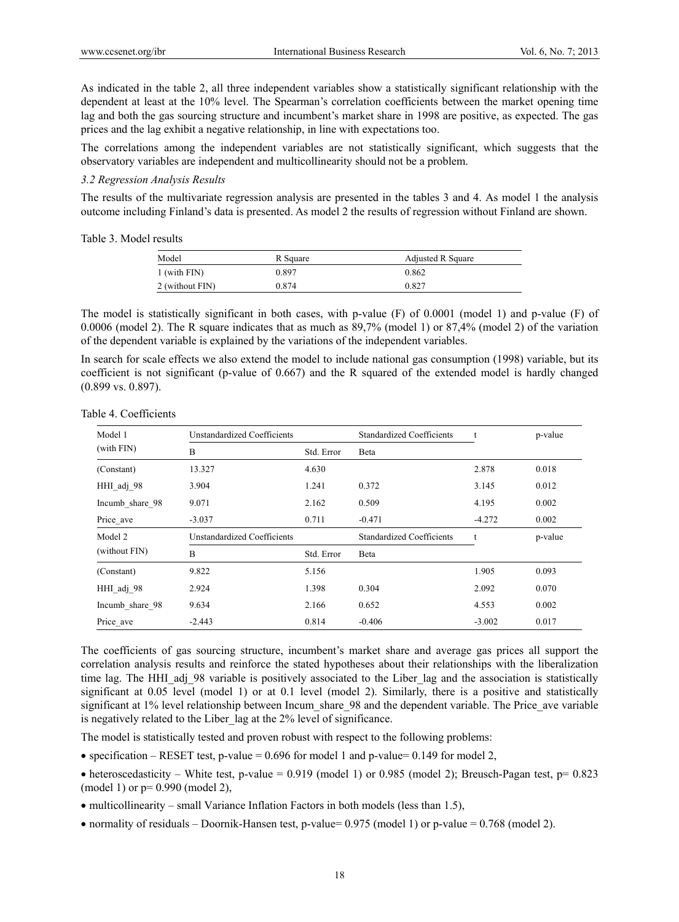As indicated in the table 2, all three independent variables show a statistically significant relationship with the dependent at least at the 10% level. The Spearman's correlation coefficients between the market opening time lag and both the gas sourcing structure and incumbent's market share in 1998 are positive, as expected. The gas prices and the lag exhibit a negative relationship, in line with expectations too.

The correlations among the independent variables are not statistically significant, which suggests that the observatory variables are independent and multicollinearity should not be a problem.

## *3.2 Regression Analysis Results*

The results of the multivariate regression analysis are presented in the tables 3 and 4. As model 1 the analysis outcome including Finland's data is presented. As model 2 the results of regression without Finland are shown.

Table 3. Model results

| Model           | R Square | Adjusted R Square |
|-----------------|----------|-------------------|
| 1 (with FIN)    | 0.897    | 0.862             |
| 2 (without FIN) | 0.874    | 0.827             |

The model is statistically significant in both cases, with p-value (F) of 0.0001 (model 1) and p-value (F) of 0.0006 (model 2). The R square indicates that as much as 89,7% (model 1) or 87,4% (model 2) of the variation of the dependent variable is explained by the variations of the independent variables.

In search for scale effects we also extend the model to include national gas consumption (1998) variable, but its coefficient is not significant (p-value of 0.667) and the R squared of the extended model is hardly changed (0.899 vs. 0.897).

| Model 1         | Unstandardized Coefficients |            | <b>Standardized Coefficients</b> |          | p-value |
|-----------------|-----------------------------|------------|----------------------------------|----------|---------|
| (with FIN)      | B                           | Std. Error | Beta                             |          |         |
| (Constant)      | 13.327                      | 4.630      |                                  | 2.878    | 0.018   |
| HHI adj 98      | 3.904                       | 1.241      | 0.372                            | 3.145    | 0.012   |
| Incumb share 98 | 9.071                       | 2.162      | 0.509                            | 4.195    | 0.002   |
| Price_ave       | $-3.037$                    | 0.711      | $-0.471$                         | $-4.272$ | 0.002   |
| Model 2         | Unstandardized Coefficients |            | <b>Standardized Coefficients</b> | t        | p-value |
| (without FIN)   | B                           | Std. Error | Beta                             |          |         |
| (Constant)      | 9.822                       | 5.156      |                                  | 1.905    | 0.093   |
| HHI adj 98      | 2.924                       | 1.398      | 0.304                            | 2.092    | 0.070   |
| Incumb share 98 | 9.634                       | 2.166      | 0.652                            | 4.553    | 0.002   |
| Price ave       | $-2.443$                    | 0.814      | $-0.406$                         | $-3.002$ | 0.017   |

Table 4. Coefficients

The coefficients of gas sourcing structure, incumbent's market share and average gas prices all support the correlation analysis results and reinforce the stated hypotheses about their relationships with the liberalization time lag. The HHI adj 98 variable is positively associated to the Liber lag and the association is statistically significant at 0.05 level (model 1) or at 0.1 level (model 2). Similarly, there is a positive and statistically significant at 1% level relationship between Incum share 98 and the dependent variable. The Price ave variable is negatively related to the Liber lag at the 2% level of significance.

The model is statistically tested and proven robust with respect to the following problems:

- $\bullet$  specification RESET test, p-value = 0.696 for model 1 and p-value= 0.149 for model 2,
- heteroscedasticity White test, p-value = 0.919 (model 1) or 0.985 (model 2); Breusch-Pagan test, p= 0.823 (model 1) or p= 0.990 (model 2),
- $\bullet$  multicollinearity small Variance Inflation Factors in both models (less than 1.5),
- normality of residuals Doornik-Hansen test, p-value= 0.975 (model 1) or p-value = 0.768 (model 2).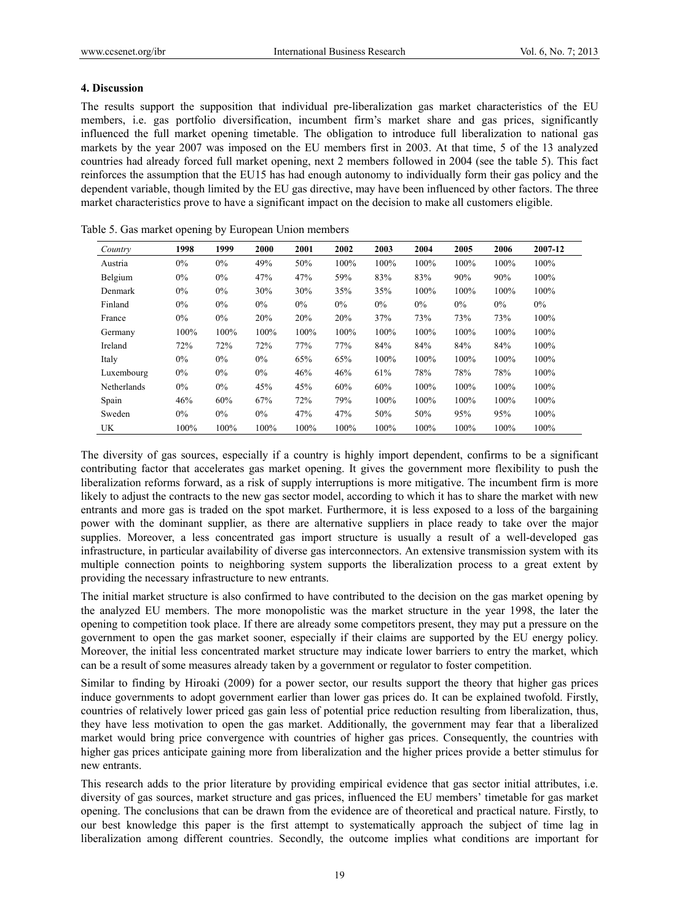#### **4. Discussion**

The results support the supposition that individual pre-liberalization gas market characteristics of the EU members, i.e. gas portfolio diversification, incumbent firm's market share and gas prices, significantly influenced the full market opening timetable. The obligation to introduce full liberalization to national gas markets by the year 2007 was imposed on the EU members first in 2003. At that time, 5 of the 13 analyzed countries had already forced full market opening, next 2 members followed in 2004 (see the table 5). This fact reinforces the assumption that the EU15 has had enough autonomy to individually form their gas policy and the dependent variable, though limited by the EU gas directive, may have been influenced by other factors. The three market characteristics prove to have a significant impact on the decision to make all customers eligible.

| Country            | 1998  | 1999  | 2000  | 2001  | 2002  | 2003  | 2004  | 2005  | 2006  | 2007-12 |
|--------------------|-------|-------|-------|-------|-------|-------|-------|-------|-------|---------|
| Austria            | $0\%$ | $0\%$ | 49%   | 50%   | 100%  | 100%  | 100%  | 100%  | 100%  | 100%    |
| Belgium            | $0\%$ | $0\%$ | 47%   | 47%   | 59%   | 83%   | 83%   | 90%   | 90%   | 100%    |
| Denmark            | $0\%$ | $0\%$ | 30%   | 30%   | 35%   | 35%   | 100%  | 100%  | 100%  | 100%    |
| Finland            | $0\%$ | $0\%$ | $0\%$ | $0\%$ | $0\%$ | $0\%$ | $0\%$ | $0\%$ | $0\%$ | $0\%$   |
| France             | $0\%$ | $0\%$ | 20%   | 20%   | 20%   | 37%   | 73%   | 73%   | 73%   | 100%    |
| Germany            | 100%  | 100%  | 100%  | 100%  | 100%  | 100%  | 100%  | 100%  | 100%  | 100%    |
| Ireland            | 72%   | 72%   | 72%   | 77%   | 77%   | 84%   | 84%   | 84%   | 84%   | 100%    |
| Italy              | $0\%$ | $0\%$ | $0\%$ | 65%   | 65%   | 100%  | 100%  | 100%  | 100%  | 100%    |
| Luxembourg         | $0\%$ | $0\%$ | $0\%$ | 46%   | 46%   | 61%   | 78%   | 78%   | 78%   | 100%    |
| <b>Netherlands</b> | $0\%$ | $0\%$ | 45%   | 45%   | 60%   | 60%   | 100%  | 100%  | 100%  | 100%    |
| Spain              | 46%   | 60%   | 67%   | 72%   | 79%   | 100%  | 100%  | 100%  | 100%  | 100%    |
| Sweden             | $0\%$ | $0\%$ | $0\%$ | 47%   | 47%   | 50%   | 50%   | 95%   | 95%   | 100%    |
| UK                 | 100%  | 100%  | 100%  | 100%  | 100%  | 100%  | 100%  | 100%  | 100%  | 100%    |

|  | Table 5. Gas market opening by European Union members |
|--|-------------------------------------------------------|
|--|-------------------------------------------------------|

The diversity of gas sources, especially if a country is highly import dependent, confirms to be a significant contributing factor that accelerates gas market opening. It gives the government more flexibility to push the liberalization reforms forward, as a risk of supply interruptions is more mitigative. The incumbent firm is more likely to adjust the contracts to the new gas sector model, according to which it has to share the market with new entrants and more gas is traded on the spot market. Furthermore, it is less exposed to a loss of the bargaining power with the dominant supplier, as there are alternative suppliers in place ready to take over the major supplies. Moreover, a less concentrated gas import structure is usually a result of a well-developed gas infrastructure, in particular availability of diverse gas interconnectors. An extensive transmission system with its multiple connection points to neighboring system supports the liberalization process to a great extent by providing the necessary infrastructure to new entrants.

The initial market structure is also confirmed to have contributed to the decision on the gas market opening by the analyzed EU members. The more monopolistic was the market structure in the year 1998, the later the opening to competition took place. If there are already some competitors present, they may put a pressure on the government to open the gas market sooner, especially if their claims are supported by the EU energy policy. Moreover, the initial less concentrated market structure may indicate lower barriers to entry the market, which can be a result of some measures already taken by a government or regulator to foster competition.

Similar to finding by Hiroaki (2009) for a power sector, our results support the theory that higher gas prices induce governments to adopt government earlier than lower gas prices do. It can be explained twofold. Firstly, countries of relatively lower priced gas gain less of potential price reduction resulting from liberalization, thus, they have less motivation to open the gas market. Additionally, the government may fear that a liberalized market would bring price convergence with countries of higher gas prices. Consequently, the countries with higher gas prices anticipate gaining more from liberalization and the higher prices provide a better stimulus for new entrants.

This research adds to the prior literature by providing empirical evidence that gas sector initial attributes, i.e. diversity of gas sources, market structure and gas prices, influenced the EU members' timetable for gas market opening. The conclusions that can be drawn from the evidence are of theoretical and practical nature. Firstly, to our best knowledge this paper is the first attempt to systematically approach the subject of time lag in liberalization among different countries. Secondly, the outcome implies what conditions are important for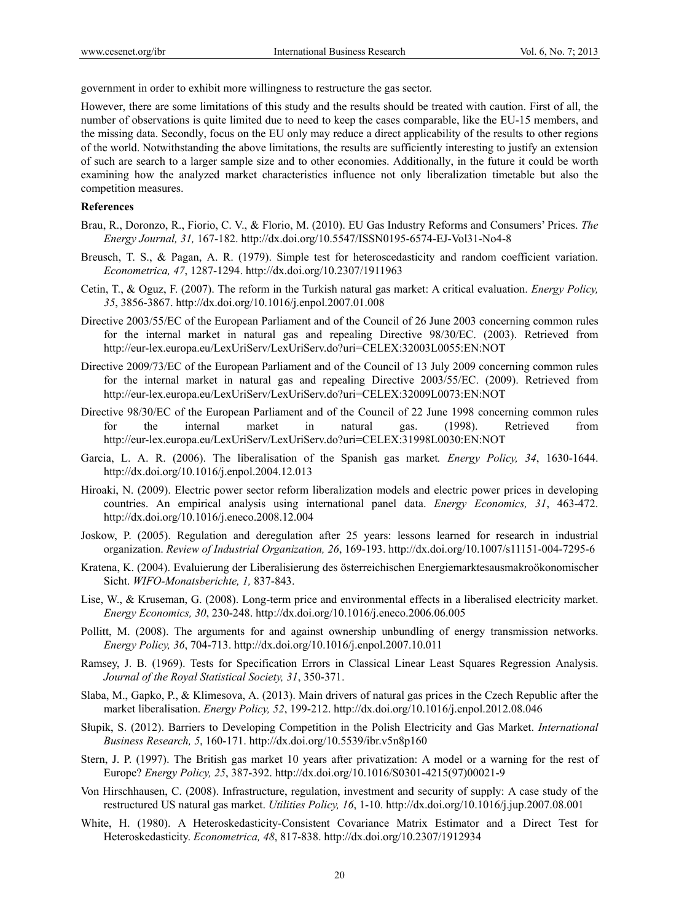government in order to exhibit more willingness to restructure the gas sector.

However, there are some limitations of this study and the results should be treated with caution. First of all, the number of observations is quite limited due to need to keep the cases comparable, like the EU-15 members, and the missing data. Secondly, focus on the EU only may reduce a direct applicability of the results to other regions of the world. Notwithstanding the above limitations, the results are sufficiently interesting to justify an extension of such are search to a larger sample size and to other economies. Additionally, in the future it could be worth examining how the analyzed market characteristics influence not only liberalization timetable but also the competition measures.

#### **References**

- Brau, R., Doronzo, R., Fiorio, C. V., & Florio, M. (2010). EU Gas Industry Reforms and Consumers' Prices. *The Energy Journal, 31,* 167-182. http://dx.doi.org/10.5547/ISSN0195-6574-EJ-Vol31-No4-8
- Breusch, T. S., & Pagan, A. R. (1979). Simple test for heteroscedasticity and random coefficient variation. *Econometrica, 47*, 1287-1294. http://dx.doi.org/10.2307/1911963
- Cetin, T., & Oguz, F. (2007). The reform in the Turkish natural gas market: A critical evaluation. *Energy Policy, 35*, 3856-3867. http://dx.doi.org/10.1016/j.enpol.2007.01.008
- Directive 2003/55/EC of the European Parliament and of the Council of 26 June 2003 concerning common rules for the internal market in natural gas and repealing Directive 98/30/EC. (2003). Retrieved from http://eur-lex.europa.eu/LexUriServ/LexUriServ.do?uri=CELEX:32003L0055:EN:NOT
- Directive 2009/73/EC of the European Parliament and of the Council of 13 July 2009 concerning common rules for the internal market in natural gas and repealing Directive 2003/55/EC. (2009). Retrieved from http://eur-lex.europa.eu/LexUriServ/LexUriServ.do?uri=CELEX:32009L0073:EN:NOT
- Directive 98/30/EC of the European Parliament and of the Council of 22 June 1998 concerning common rules for the internal market in natural gas. (1998). Retrieved from http://eur-lex.europa.eu/LexUriServ/LexUriServ.do?uri=CELEX:31998L0030:EN:NOT
- Garcia, L. A. R. (2006). The liberalisation of the Spanish gas market*. Energy Policy, 34*, 1630-1644. http://dx.doi.org/10.1016/j.enpol.2004.12.013
- Hiroaki, N. (2009). Electric power sector reform liberalization models and electric power prices in developing countries. An empirical analysis using international panel data. *Energy Economics, 31*, 463-472. http://dx.doi.org/10.1016/j.eneco.2008.12.004
- Joskow, P. (2005). Regulation and deregulation after 25 years: lessons learned for research in industrial organization. *Review of Industrial Organization, 26*, 169-193. http://dx.doi.org/10.1007/s11151-004-7295-6
- Kratena, K. (2004). Evaluierung der Liberalisierung des österreichischen Energiemarktesausmakroökonomischer Sicht. *WIFO-Monatsberichte, 1,* 837-843.
- Lise, W., & Kruseman, G. (2008). Long-term price and environmental effects in a liberalised electricity market. *Energy Economics, 30*, 230-248. http://dx.doi.org/10.1016/j.eneco.2006.06.005
- Pollitt, M. (2008). The arguments for and against ownership unbundling of energy transmission networks. *Energy Policy, 36*, 704-713. http://dx.doi.org/10.1016/j.enpol.2007.10.011
- Ramsey, J. B. (1969). Tests for Specification Errors in Classical Linear Least Squares Regression Analysis. *Journal of the Royal Statistical Society, 31*, 350-371.
- Slaba, M., Gapko, P., & Klimesova, A. (2013). Main drivers of natural gas prices in the Czech Republic after the market liberalisation. *Energy Policy, 52*, 199-212. http://dx.doi.org/10.1016/j.enpol.2012.08.046
- Słupik, S. (2012). Barriers to Developing Competition in the Polish Electricity and Gas Market. *International Business Research, 5*, 160-171. http://dx.doi.org/10.5539/ibr.v5n8p160
- Stern, J. P. (1997). The British gas market 10 years after privatization: A model or a warning for the rest of Europe? *Energy Policy, 25*, 387-392. http://dx.doi.org/10.1016/S0301-4215(97)00021-9
- Von Hirschhausen, C. (2008). Infrastructure, regulation, investment and security of supply: A case study of the restructured US natural gas market. *Utilities Policy, 16*, 1-10. http://dx.doi.org/10.1016/j.jup.2007.08.001
- White, H. (1980). A Heteroskedasticity-Consistent Covariance Matrix Estimator and a Direct Test for Heteroskedasticity. *Econometrica, 48*, 817-838. http://dx.doi.org/10.2307/1912934